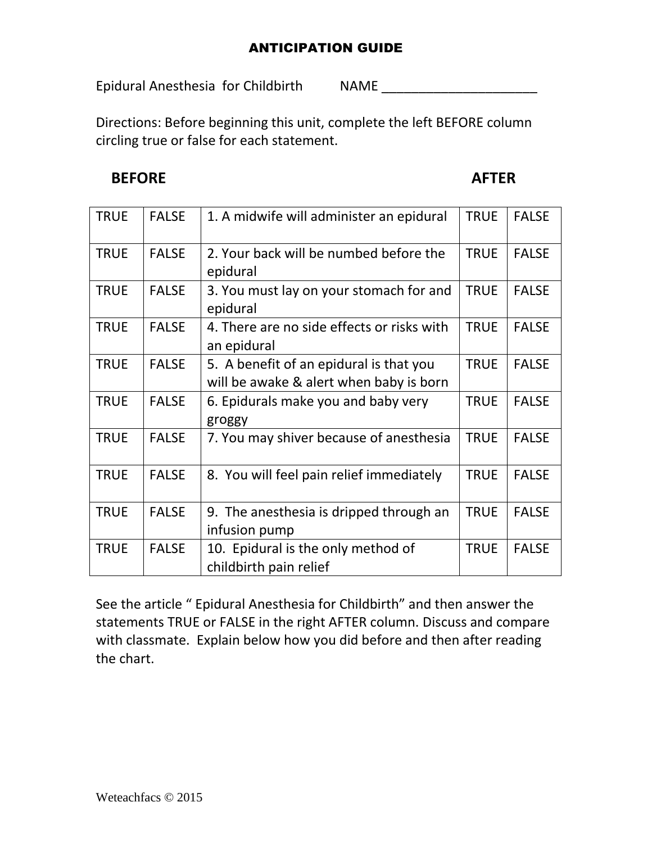### ANTICIPATION GUIDE

Epidural Anesthesia for Childbirth NAME \_\_\_\_\_\_\_\_\_\_\_\_\_\_\_\_\_\_\_\_\_

Directions: Before beginning this unit, complete the left BEFORE column circling true or false for each statement.

## **BEFORE** AFTER

| <b>TRUE</b> | <b>FALSE</b> | 1. A midwife will administer an epidural                                           | <b>TRUE</b> | <b>FALSE</b> |
|-------------|--------------|------------------------------------------------------------------------------------|-------------|--------------|
| <b>TRUE</b> | <b>FALSE</b> | 2. Your back will be numbed before the<br>epidural                                 | <b>TRUE</b> | <b>FALSE</b> |
| <b>TRUE</b> | <b>FALSE</b> | 3. You must lay on your stomach for and<br>epidural                                | <b>TRUE</b> | <b>FALSE</b> |
| <b>TRUE</b> | <b>FALSE</b> | 4. There are no side effects or risks with<br>an epidural                          | <b>TRUE</b> | <b>FALSE</b> |
| <b>TRUE</b> | <b>FALSE</b> | 5. A benefit of an epidural is that you<br>will be awake & alert when baby is born | <b>TRUE</b> | <b>FALSE</b> |
| <b>TRUE</b> | <b>FALSE</b> | 6. Epidurals make you and baby very<br>groggy                                      | <b>TRUE</b> | <b>FALSE</b> |
| <b>TRUE</b> | <b>FALSE</b> | 7. You may shiver because of anesthesia                                            | <b>TRUE</b> | <b>FALSE</b> |
| <b>TRUE</b> | <b>FALSE</b> | 8. You will feel pain relief immediately                                           | <b>TRUE</b> | <b>FALSE</b> |
| <b>TRUE</b> | <b>FALSE</b> | 9. The anesthesia is dripped through an<br>infusion pump                           | <b>TRUE</b> | <b>FALSE</b> |
| <b>TRUE</b> | <b>FALSE</b> | 10. Epidural is the only method of<br>childbirth pain relief                       | <b>TRUE</b> | <b>FALSE</b> |

See the article " Epidural Anesthesia for Childbirth" and then answer the statements TRUE or FALSE in the right AFTER column. Discuss and compare with classmate. Explain below how you did before and then after reading the chart.